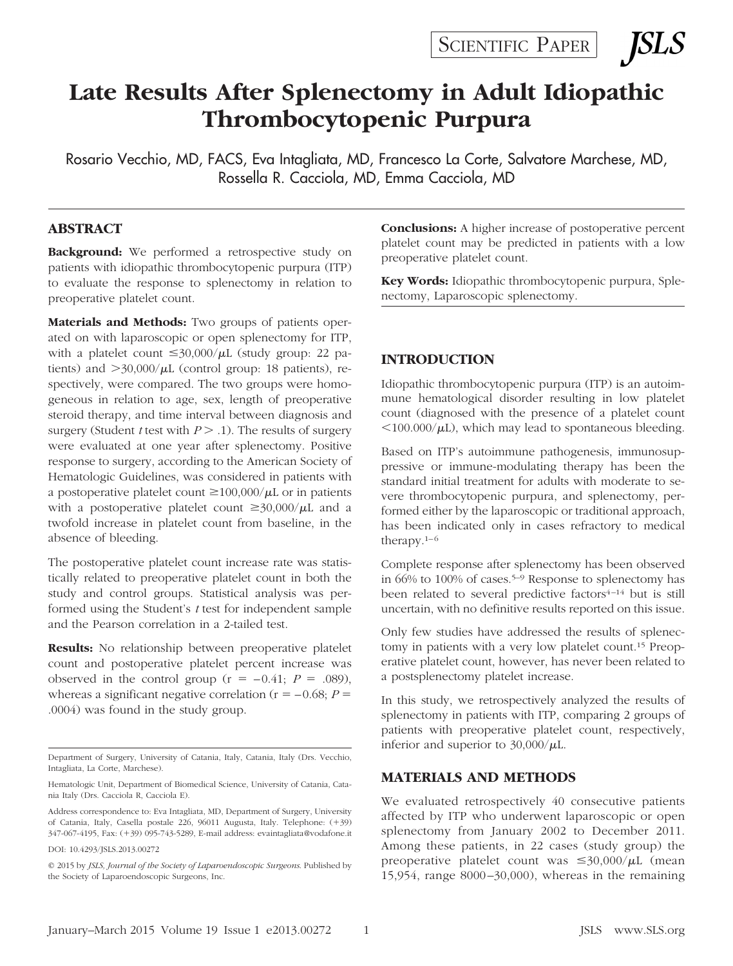SCIENTIFIC PAPER

*SLS* 

# **Late Results After Splenectomy in Adult Idiopathic Thrombocytopenic Purpura**

Rosario Vecchio, MD, FACS, Eva Intagliata, MD, Francesco La Corte, Salvatore Marchese, MD, Rossella R. Cacciola, MD, Emma Cacciola, MD

#### **ABSTRACT**

**Background:** We performed a retrospective study on patients with idiopathic thrombocytopenic purpura (ITP) to evaluate the response to splenectomy in relation to preoperative platelet count.

**Materials and Methods:** Two groups of patients operated on with laparoscopic or open splenectomy for ITP, with a platelet count  $\leq 30,000/\mu L$  (study group: 22 patients) and  $>$ 30,000/ $\mu$ L (control group: 18 patients), respectively, were compared. The two groups were homogeneous in relation to age, sex, length of preoperative steroid therapy, and time interval between diagnosis and surgery (Student *t* test with  $P > 0.1$ ). The results of surgery were evaluated at one year after splenectomy. Positive response to surgery, according to the American Society of Hematologic Guidelines, was considered in patients with a postoperative platelet count  $\geq 100,000/\mu L$  or in patients with a postoperative platelet count  $\geq 30,000/\mu L$  and a twofold increase in platelet count from baseline, in the absence of bleeding.

The postoperative platelet count increase rate was statistically related to preoperative platelet count in both the study and control groups. Statistical analysis was performed using the Student's *t* test for independent sample and the Pearson correlation in a 2-tailed test.

**Results:** No relationship between preoperative platelet count and postoperative platelet percent increase was observed in the control group  $(r = -0.41; P = .089)$ , whereas a significant negative correlation ( $r = -0.68$ ;  $P =$ .0004) was found in the study group.

DOI: 10.4293/JSLS.2013.00272

**Conclusions:** A higher increase of postoperative percent platelet count may be predicted in patients with a low preoperative platelet count.

**Key Words:** Idiopathic thrombocytopenic purpura, Splenectomy, Laparoscopic splenectomy.

### **INTRODUCTION**

Idiopathic thrombocytopenic purpura (ITP) is an autoimmune hematological disorder resulting in low platelet count (diagnosed with the presence of a platelet count  $100.000/\mu L$ ), which may lead to spontaneous bleeding.

Based on ITP's autoimmune pathogenesis, immunosuppressive or immune-modulating therapy has been the standard initial treatment for adults with moderate to severe thrombocytopenic purpura, and splenectomy, performed either by the laparoscopic or traditional approach, has been indicated only in cases refractory to medical therapy. $1-6$ 

Complete response after splenectomy has been observed in 66% to 100% of cases.<sup>5–9</sup> Response to splenectomy has been related to several predictive factors<sup>4-14</sup> but is still uncertain, with no definitive results reported on this issue.

Only few studies have addressed the results of splenectomy in patients with a very low platelet count.15 Preoperative platelet count, however, has never been related to a postsplenectomy platelet increase.

In this study, we retrospectively analyzed the results of splenectomy in patients with ITP, comparing 2 groups of patients with preoperative platelet count, respectively, inferior and superior to  $30,000/\mu L$ .

#### **MATERIALS AND METHODS**

We evaluated retrospectively 40 consecutive patients affected by ITP who underwent laparoscopic or open splenectomy from January 2002 to December 2011. Among these patients, in 22 cases (study group) the preoperative platelet count was  $\leq 30,000/\mu L$  (mean 15,954, range 8000 –30,000), whereas in the remaining

Department of Surgery, University of Catania, Italy, Catania, Italy (Drs. Vecchio, Intagliata, La Corte, Marchese).

Hematologic Unit, Department of Biomedical Science, University of Catania, Catania Italy (Drs. Cacciola R, Cacciola E).

Address correspondence to: Eva Intagliata, MD, Department of Surgery, University of Catania, Italy, Casella postale 226, 96011 Augusta, Italy. Telephone: (+39) 347-067-4195, Fax: (+39) 095-743-5289, E-mail address: evaintagliata@vodafone.it

<sup>© 2015</sup> by *JSLS, Journal of the Society of Laparoendoscopic Surgeons*. Published by the Society of Laparoendoscopic Surgeons, Inc.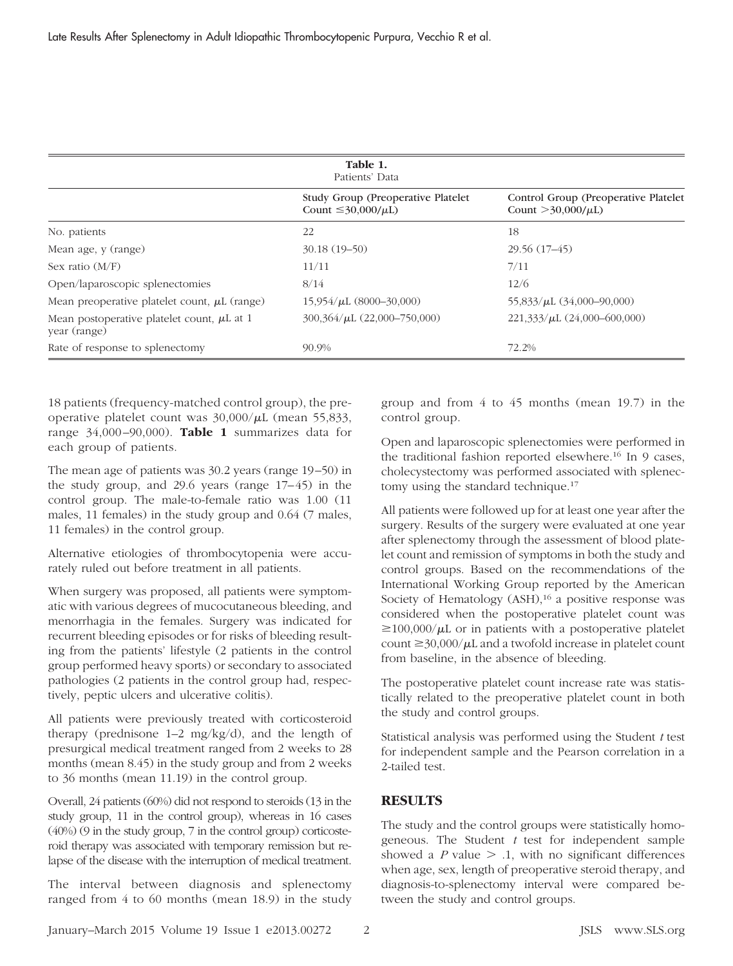| Table 1.<br>Patients' Data                                      |                                                                             |                                                                 |
|-----------------------------------------------------------------|-----------------------------------------------------------------------------|-----------------------------------------------------------------|
|                                                                 | <b>Study Group (Preoperative Platelet)</b><br>Count $\leq$ 30,000/ $\mu$ L) | Control Group (Preoperative Platelet<br>Count $>30,000/\mu L$ ) |
| No. patients                                                    | 22                                                                          | 18                                                              |
| Mean age, y (range)                                             | $30.18(19-50)$                                                              | 29.56 (17-45)                                                   |
| Sex ratio $(M/F)$                                               | 11/11                                                                       | 7/11                                                            |
| Open/laparoscopic splenectomies                                 | 8/14                                                                        | 12/6                                                            |
| Mean preoperative platelet count, $\mu$ L (range)               | $15,954/\mu L$ (8000-30,000)                                                | 55,833/ $\mu$ L (34,000-90,000)                                 |
| Mean postoperative platelet count, $\mu$ L at 1<br>year (range) | $300,364/\mu L$ (22,000-750,000)                                            | $221,333/\mu L$ (24,000-600,000)                                |
| Rate of response to splenectomy                                 | 90.9%                                                                       | 72.2%                                                           |

18 patients (frequency-matched control group), the preoperative platelet count was  $30,000/\mu$ L (mean 55,833, range 34,000 –90,000). **Table 1** summarizes data for each group of patients.

The mean age of patients was 30.2 years (range 19 –50) in the study group, and 29.6 years (range  $17-45$ ) in the control group. The male-to-female ratio was 1.00 (11 males, 11 females) in the study group and 0.64 (7 males, 11 females) in the control group.

Alternative etiologies of thrombocytopenia were accurately ruled out before treatment in all patients.

When surgery was proposed, all patients were symptomatic with various degrees of mucocutaneous bleeding, and menorrhagia in the females. Surgery was indicated for recurrent bleeding episodes or for risks of bleeding resulting from the patients' lifestyle (2 patients in the control group performed heavy sports) or secondary to associated pathologies (2 patients in the control group had, respectively, peptic ulcers and ulcerative colitis).

All patients were previously treated with corticosteroid therapy (prednisone 1–2 mg/kg/d), and the length of presurgical medical treatment ranged from 2 weeks to 28 months (mean 8.45) in the study group and from 2 weeks to 36 months (mean 11.19) in the control group.

Overall, 24 patients (60%) did not respond to steroids (13 in the study group, 11 in the control group), whereas in 16 cases (40%) (9 in the study group, 7 in the control group) corticosteroid therapy was associated with temporary remission but relapse of the disease with the interruption of medical treatment.

The interval between diagnosis and splenectomy ranged from 4 to 60 months (mean 18.9) in the study group and from 4 to 45 months (mean 19.7) in the control group.

Open and laparoscopic splenectomies were performed in the traditional fashion reported elsewhere.16 In 9 cases, cholecystectomy was performed associated with splenectomy using the standard technique.<sup>17</sup>

All patients were followed up for at least one year after the surgery. Results of the surgery were evaluated at one year after splenectomy through the assessment of blood platelet count and remission of symptoms in both the study and control groups. Based on the recommendations of the International Working Group reported by the American Society of Hematology (ASH),<sup>16</sup> a positive response was considered when the postoperative platelet count was  $\geq$ 100,000/ $\mu$ L or in patients with a postoperative platelet count  $\geq$ 30,000/ $\mu$ L and a twofold increase in platelet count from baseline, in the absence of bleeding.

The postoperative platelet count increase rate was statistically related to the preoperative platelet count in both the study and control groups.

Statistical analysis was performed using the Student *t* test for independent sample and the Pearson correlation in a 2-tailed test.

## **RESULTS**

The study and the control groups were statistically homogeneous. The Student *t* test for independent sample showed a  $P$  value  $> 0.1$ , with no significant differences when age, sex, length of preoperative steroid therapy, and diagnosis-to-splenectomy interval were compared between the study and control groups.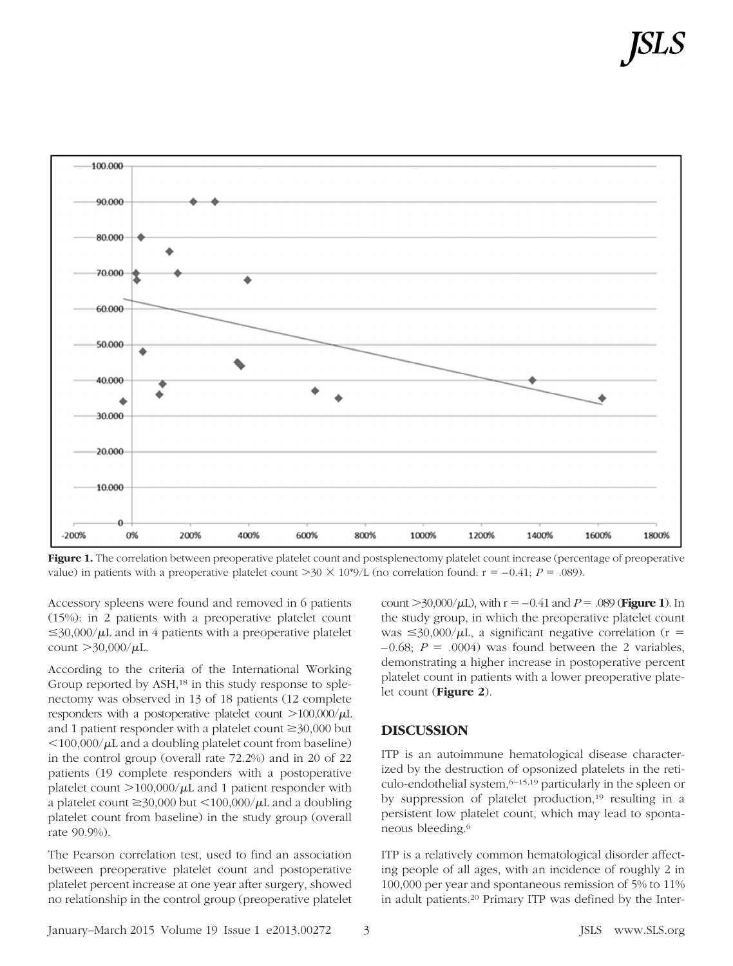

Figure 1. The correlation between preoperative platelet count and postsplenectomy platelet count increase (percentage of preoperative value) in patients with a preoperative platelet count  $>30 \times 10^{49}/L$  (no correlation found:  $r = -0.41$ ;  $P = .089$ ).

Accessory spleens were found and removed in 6 patients (15%): in 2 patients with a preoperative platelet count  $\leq$ 30,000/ $\mu$ L and in 4 patients with a preoperative platelet count  $>30,000/\mu L$ .

According to the criteria of the International Working Group reported by ASH,<sup>18</sup> in this study response to splenectomy was observed in 13 of 18 patients (12 complete responders with a postoperative platelet count  $>$ 100,000/ $\mu$ L and 1 patient responder with a platelet count  $\geq$ 30,000 but  $100,000/\mu L$  and a doubling platelet count from baseline) in the control group (overall rate 72.2%) and in 20 of 22 patients (19 complete responders with a postoperative platelet count  $>$ 100,000/ $\mu$ L and 1 patient responder with a platelet count  $\geq$ 30,000 but  $\lt$ 100,000/ $\mu$ L and a doubling platelet count from baseline) in the study group (overall rate 90.9%).

The Pearson correlation test, used to find an association between preoperative platelet count and postoperative platelet percent increase at one year after surgery, showed no relationship in the control group (preoperative platelet count  $>$  30,000/ $\mu$ L), with r =  $-0.41$  and *P* = .089 (**Figure 1**). In the study group, in which the preoperative platelet count was  $\leq$ 30,000/ $\mu$ L, a significant negative correlation (r =  $-0.68$ ;  $P = .0004$ ) was found between the 2 variables, demonstrating a higher increase in postoperative percent platelet count in patients with a lower preoperative platelet count (**Figure 2**).

#### **DISCUSSION**

ITP is an autoimmune hematological disease characterized by the destruction of opsonized platelets in the reticulo-endothelial system, <sup>6-15,19</sup> particularly in the spleen or by suppression of platelet production,<sup>19</sup> resulting in a persistent low platelet count, which may lead to spontaneous bleeding.6

ITP is a relatively common hematological disorder affecting people of all ages, with an incidence of roughly 2 in 100,000 per year and spontaneous remission of 5% to 11% in adult patients.20 Primary ITP was defined by the Inter-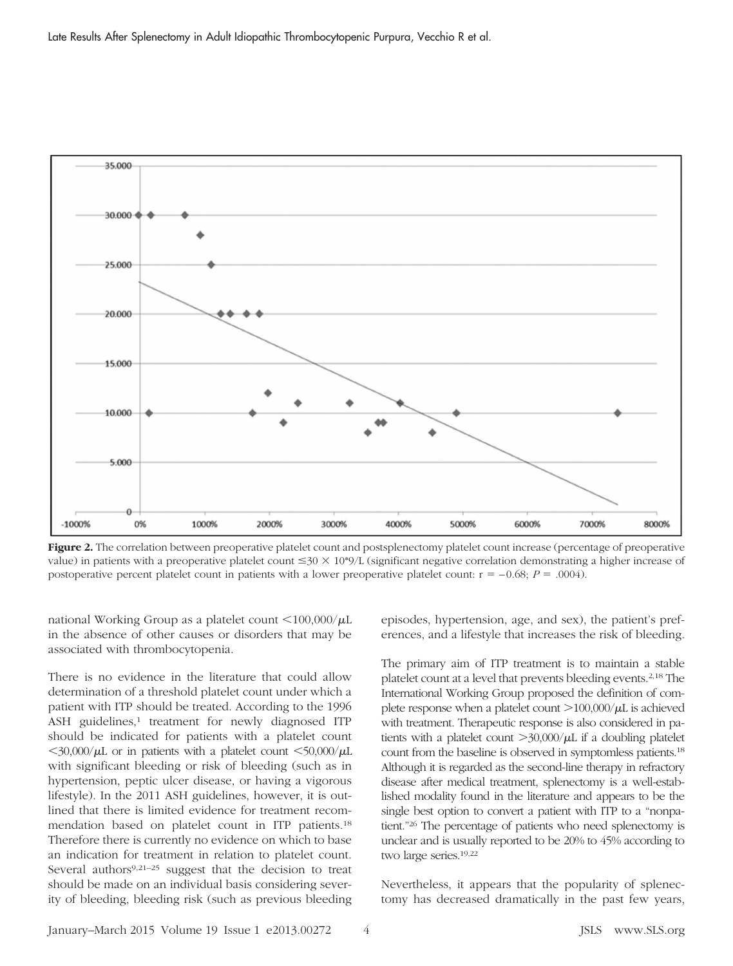

Figure 2. The correlation between preoperative platelet count and postsplenectomy platelet count increase (percentage of preoperative value) in patients with a preoperative platelet count  $\leq 30 \times 10^{49}$ /L (significant negative correlation demonstrating a higher increase of postoperative percent platelet count in patients with a lower preoperative platelet count:  $r = -0.68$ ;  $P = .0004$ ).

national Working Group as a platelet count  $\langle 100,000/\mu L$ in the absence of other causes or disorders that may be associated with thrombocytopenia.

There is no evidence in the literature that could allow determination of a threshold platelet count under which a patient with ITP should be treated. According to the 1996 ASH guidelines,<sup>1</sup> treatment for newly diagnosed ITP should be indicated for patients with a platelet count  $<$ 30,000/ $\mu$ L or in patients with a platelet count  $<$ 50,000/ $\mu$ L with significant bleeding or risk of bleeding (such as in hypertension, peptic ulcer disease, or having a vigorous lifestyle). In the 2011 ASH guidelines, however, it is outlined that there is limited evidence for treatment recommendation based on platelet count in ITP patients.18 Therefore there is currently no evidence on which to base an indication for treatment in relation to platelet count. Several authors<sup>9,21–25</sup> suggest that the decision to treat should be made on an individual basis considering severity of bleeding, bleeding risk (such as previous bleeding episodes, hypertension, age, and sex), the patient's preferences, and a lifestyle that increases the risk of bleeding.

The primary aim of ITP treatment is to maintain a stable platelet count at a level that prevents bleeding events.2,18 The International Working Group proposed the definition of complete response when a platelet count  $>$ 100,000/ $\mu$ L is achieved with treatment. Therapeutic response is also considered in patients with a platelet count  $>$ 30,000/ $\mu$ L if a doubling platelet count from the baseline is observed in symptomless patients.18 Although it is regarded as the second-line therapy in refractory disease after medical treatment, splenectomy is a well-established modality found in the literature and appears to be the single best option to convert a patient with ITP to a "nonpatient."26 The percentage of patients who need splenectomy is unclear and is usually reported to be 20% to 45% according to two large series.19,22

Nevertheless, it appears that the popularity of splenectomy has decreased dramatically in the past few years,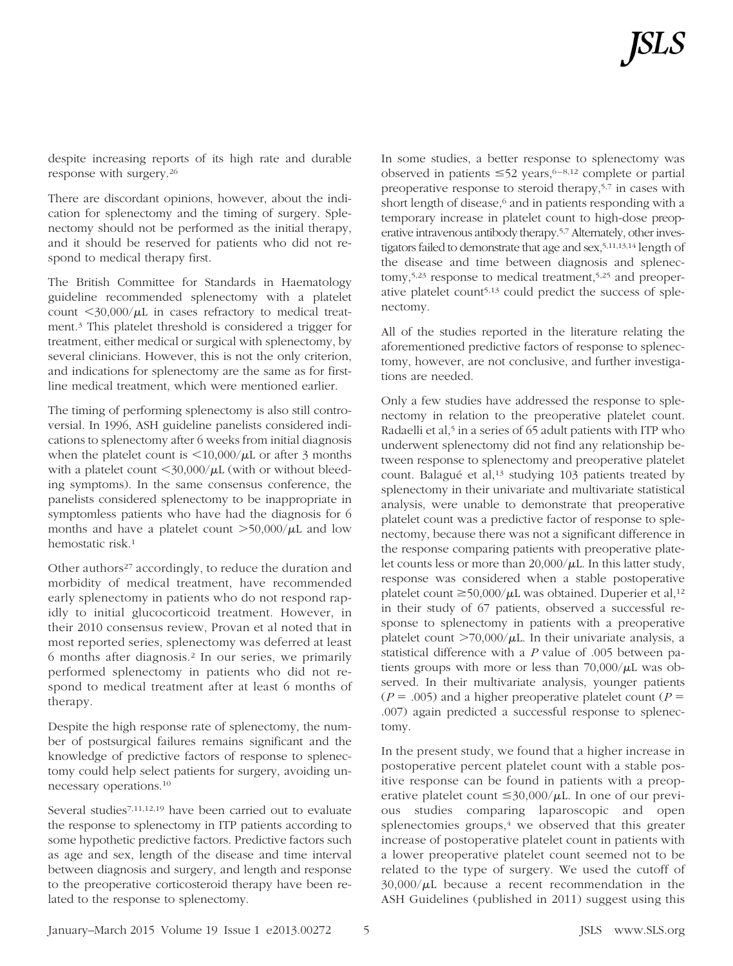despite increasing reports of its high rate and durable response with surgery.26

There are discordant opinions, however, about the indication for splenectomy and the timing of surgery. Splenectomy should not be performed as the initial therapy, and it should be reserved for patients who did not respond to medical therapy first.

The British Committee for Standards in Haematology guideline recommended splenectomy with a platelet count  $\langle 30,000/\mu L$  in cases refractory to medical treatment.3 This platelet threshold is considered a trigger for treatment, either medical or surgical with splenectomy, by several clinicians. However, this is not the only criterion, and indications for splenectomy are the same as for firstline medical treatment, which were mentioned earlier.

The timing of performing splenectomy is also still controversial. In 1996, ASH guideline panelists considered indications to splenectomy after 6 weeks from initial diagnosis when the platelet count is  $\langle 10,000/\mu L \rangle$  or after 3 months with a platelet count  $\langle 30,000/\mu L$  (with or without bleeding symptoms). In the same consensus conference, the panelists considered splenectomy to be inappropriate in symptomless patients who have had the diagnosis for 6 months and have a platelet count  $>50,000/\mu L$  and low hemostatic risk.1

Other authors<sup>27</sup> accordingly, to reduce the duration and morbidity of medical treatment, have recommended early splenectomy in patients who do not respond rapidly to initial glucocorticoid treatment. However, in their 2010 consensus review, Provan et al noted that in most reported series, splenectomy was deferred at least 6 months after diagnosis.2 In our series, we primarily performed splenectomy in patients who did not respond to medical treatment after at least 6 months of therapy.

Despite the high response rate of splenectomy, the number of postsurgical failures remains significant and the knowledge of predictive factors of response to splenectomy could help select patients for surgery, avoiding unnecessary operations.10

Several studies7,11,12,19 have been carried out to evaluate the response to splenectomy in ITP patients according to some hypothetic predictive factors. Predictive factors such as age and sex, length of the disease and time interval between diagnosis and surgery, and length and response to the preoperative corticosteroid therapy have been related to the response to splenectomy.

In some studies, a better response to splenectomy was observed in patients  $\leq 52$  years, 6-8,12 complete or partial preoperative response to steroid therapy,5,7 in cases with short length of disease,<sup>6</sup> and in patients responding with a temporary increase in platelet count to high-dose preoperative intravenous antibody therapy.5,7 Alternately, other investigators failed to demonstrate that age and sex,5,11,13,14 length of the disease and time between diagnosis and splenectomy,<sup>5,23</sup> response to medical treatment,<sup>5,25</sup> and preoperative platelet count<sup>5,13</sup> could predict the success of splenectomy.

All of the studies reported in the literature relating the aforementioned predictive factors of response to splenectomy, however, are not conclusive, and further investigations are needed.

Only a few studies have addressed the response to splenectomy in relation to the preoperative platelet count. Radaelli et al,<sup>5</sup> in a series of 65 adult patients with ITP who underwent splenectomy did not find any relationship between response to splenectomy and preoperative platelet count. Balagué et al,<sup>13</sup> studying 103 patients treated by splenectomy in their univariate and multivariate statistical analysis, were unable to demonstrate that preoperative platelet count was a predictive factor of response to splenectomy, because there was not a significant difference in the response comparing patients with preoperative platelet counts less or more than  $20,000/\mu L$ . In this latter study, response was considered when a stable postoperative platelet count  $\geq$ 50,000/ $\mu$ L was obtained. Duperier et al,<sup>12</sup> in their study of 67 patients, observed a successful response to splenectomy in patients with a preoperative platelet count  $>70,000/\mu L$ . In their univariate analysis, a statistical difference with a *P* value of .005 between patients groups with more or less than  $70,000/\mu L$  was observed. In their multivariate analysis, younger patients  $(P = .005)$  and a higher preoperative platelet count  $(P = .005)$ .007) again predicted a successful response to splenectomy.

In the present study, we found that a higher increase in postoperative percent platelet count with a stable positive response can be found in patients with a preoperative platelet count  $\leq 30,000/\mu L$ . In one of our previous studies comparing laparoscopic and open splenectomies groups, $4 \leq x$  we observed that this greater increase of postoperative platelet count in patients with a lower preoperative platelet count seemed not to be related to the type of surgery. We used the cutoff of  $30,000/\mu L$  because a recent recommendation in the ASH Guidelines (published in 2011) suggest using this

 $J$ anuary–March 2015 Volume 19 Issue 1 e2013.00272 5  $J$  5  $J$  ISLS www.SLS.org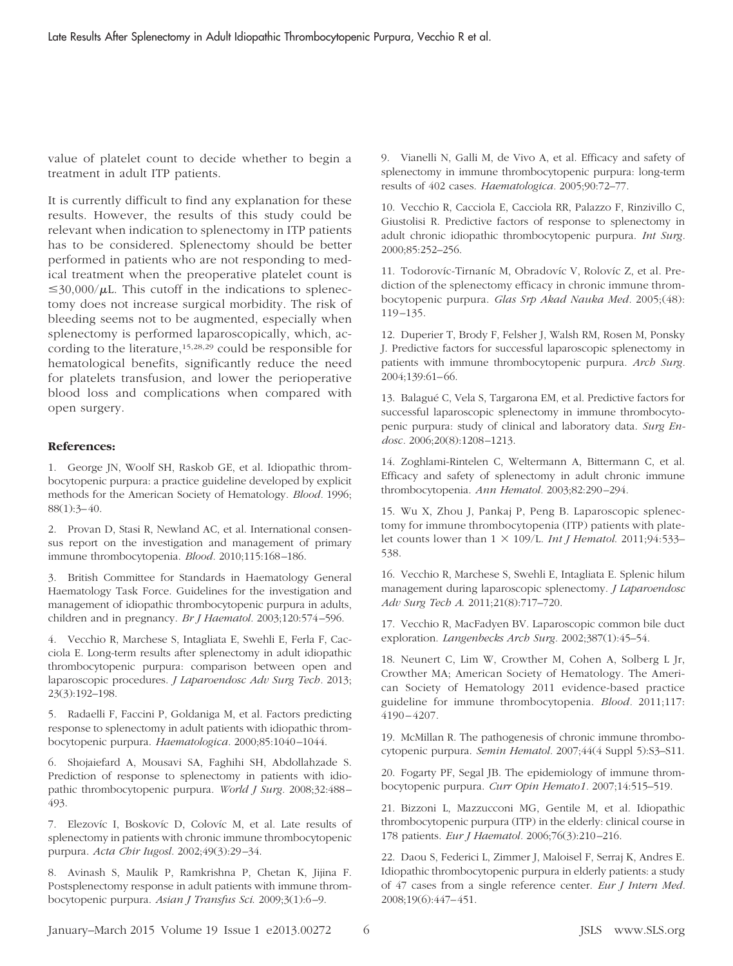value of platelet count to decide whether to begin a treatment in adult ITP patients.

It is currently difficult to find any explanation for these results. However, the results of this study could be relevant when indication to splenectomy in ITP patients has to be considered. Splenectomy should be better performed in patients who are not responding to medical treatment when the preoperative platelet count is  $\leq$ 30,000/ $\mu$ L. This cutoff in the indications to splenectomy does not increase surgical morbidity. The risk of bleeding seems not to be augmented, especially when splenectomy is performed laparoscopically, which, according to the literature,<sup>15,28,29</sup> could be responsible for hematological benefits, significantly reduce the need for platelets transfusion, and lower the perioperative blood loss and complications when compared with open surgery.

#### **References:**

1. George JN, Woolf SH, Raskob GE, et al. Idiopathic thrombocytopenic purpura: a practice guideline developed by explicit methods for the American Society of Hematology. *Blood.* 1996; 88(1):3– 40.

2. Provan D, Stasi R, Newland AC, et al. International consensus report on the investigation and management of primary immune thrombocytopenia. *Blood.* 2010;115:168 –186.

3. British Committee for Standards in Haematology General Haematology Task Force. Guidelines for the investigation and management of idiopathic thrombocytopenic purpura in adults, children and in pregnancy. *Br J Haematol.* 2003;120:574 –596.

4. Vecchio R, Marchese S, Intagliata E, Swehli E, Ferla F, Cacciola E. Long-term results after splenectomy in adult idiopathic thrombocytopenic purpura: comparison between open and laparoscopic procedures. *J Laparoendosc Adv Surg Tech.* 2013; 23(3):192–198.

5. Radaelli F, Faccini P, Goldaniga M, et al. Factors predicting response to splenectomy in adult patients with idiopathic thrombocytopenic purpura. *Haematologica.* 2000;85:1040 –1044.

6. Shojaiefard A, Mousavi SA, Faghihi SH, Abdollahzade S. Prediction of response to splenectomy in patients with idiopathic thrombocytopenic purpura. *World J Surg.* 2008;32:488 – 493.

7. Elezovíc I, Boskovíc D, Colovíc M, et al. Late results of splenectomy in patients with chronic immune thrombocytopenic purpura. *Acta Chir Iugosl.* 2002;49(3):29 –34.

8. Avinash S, Maulik P, Ramkrishna P, Chetan K, Jijina F. Postsplenectomy response in adult patients with immune thrombocytopenic purpura. *Asian J Transfus Sci*. 2009;3(1):6 –9.

9. Vianelli N, Galli M, de Vivo A, et al. Efficacy and safety of splenectomy in immune thrombocytopenic purpura: long-term results of 402 cases. *Haematologica.* 2005;90:72–77.

10. Vecchio R, Cacciola E, Cacciola RR, Palazzo F, Rinzivillo C, Giustolisi R. Predictive factors of response to splenectomy in adult chronic idiopathic thrombocytopenic purpura. *Int Surg.* 2000;85:252–256.

11. Todorovíc-Tirnaníc M, Obradovíc V, Rolovíc Z, et al. Prediction of the splenectomy efficacy in chronic immune thrombocytopenic purpura. *Glas Srp Akad Nauka Med.* 2005;(48): 119 –135.

12. Duperier T, Brody F, Felsher J, Walsh RM, Rosen M, Ponsky J. Predictive factors for successful laparoscopic splenectomy in patients with immune thrombocytopenic purpura. *Arch Surg.* 2004;139:61– 66.

13. Balagué C, Vela S, Targarona EM, et al. Predictive factors for successful laparoscopic splenectomy in immune thrombocytopenic purpura: study of clinical and laboratory data. *Surg Endosc.* 2006;20(8):1208 –1213.

14. Zoghlami-Rintelen C, Weltermann A, Bittermann C, et al. Efficacy and safety of splenectomy in adult chronic immune thrombocytopenia. *Ann Hematol.* 2003;82:290 –294.

15. Wu X, Zhou J, Pankaj P, Peng B. Laparoscopic splenectomy for immune thrombocytopenia (ITP) patients with platelet counts lower than  $1 \times 109$ /L. *Int J Hematol*. 2011;94:533-538.

16. Vecchio R, Marchese S, Swehli E, Intagliata E. Splenic hilum management during laparoscopic splenectomy. *J Laparoendosc Adv Surg Tech A*. 2011;21(8):717–720.

17. Vecchio R, MacFadyen BV. Laparoscopic common bile duct exploration. *Langenbecks Arch Surg.* 2002;387(1):45–54.

18. Neunert C, Lim W, Crowther M, Cohen A, Solberg L Jr, Crowther MA; American Society of Hematology. The American Society of Hematology 2011 evidence-based practice guideline for immune thrombocytopenia. *Blood.* 2011;117: 4190 – 4207.

19. McMillan R. The pathogenesis of chronic immune thrombocytopenic purpura. *Semin Hematol.* 2007;44(4 Suppl 5):S3–S11.

20. Fogarty PF, Segal JB. The epidemiology of immune thrombocytopenic purpura. *Curr Opin Hemato1.* 2007;14:515–519.

21. Bizzoni L, Mazzucconi MG, Gentile M, et al. Idiopathic thrombocytopenic purpura (ITP) in the elderly: clinical course in 178 patients. *Eur J Haematol.* 2006;76(3):210 –216.

22. Daou S, Federici L, Zimmer J, Maloisel F, Serraj K, Andres E. Idiopathic thrombocytopenic purpura in elderly patients: a study of 47 cases from a single reference center. *Eur J Intern Med.* 2008;19(6):447– 451.

January–March 2015 Volume 19 Issue 1 e2013.00272 6 JSLS www.SLS.org